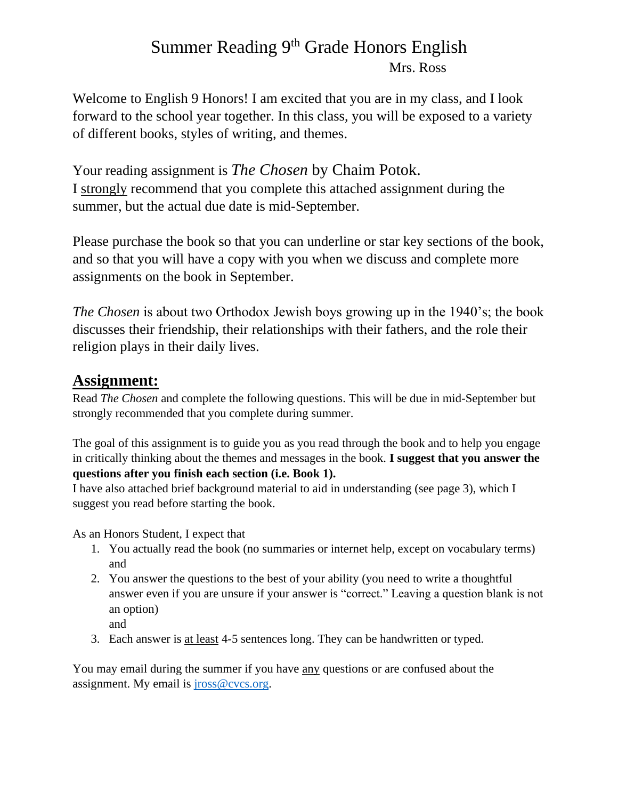# Summer Reading 9<sup>th</sup> Grade Honors English Mrs. Ross

Welcome to English 9 Honors! I am excited that you are in my class, and I look forward to the school year together. In this class, you will be exposed to a variety of different books, styles of writing, and themes.

Your reading assignment is *The Chosen* by Chaim Potok. I strongly recommend that you complete this attached assignment during the summer, but the actual due date is mid-September.

Please purchase the book so that you can underline or star key sections of the book, and so that you will have a copy with you when we discuss and complete more assignments on the book in September.

*The Chosen* is about two Orthodox Jewish boys growing up in the 1940's; the book discusses their friendship, their relationships with their fathers, and the role their religion plays in their daily lives.

### **Assignment:**

Read *The Chosen* and complete the following questions. This will be due in mid-September but strongly recommended that you complete during summer.

The goal of this assignment is to guide you as you read through the book and to help you engage in critically thinking about the themes and messages in the book. **I suggest that you answer the questions after you finish each section (i.e. Book 1).**

I have also attached brief background material to aid in understanding (see page 3), which I suggest you read before starting the book.

As an Honors Student, I expect that

- 1. You actually read the book (no summaries or internet help, except on vocabulary terms) and
- 2. You answer the questions to the best of your ability (you need to write a thoughtful answer even if you are unsure if your answer is "correct." Leaving a question blank is not an option)
	- and
- 3. Each answer is at least 4-5 sentences long. They can be handwritten or typed.

You may email during the summer if you have any questions or are confused about the assignment. My email is [jross@cvcs.org.](mailto:jhudson@cvcs.org)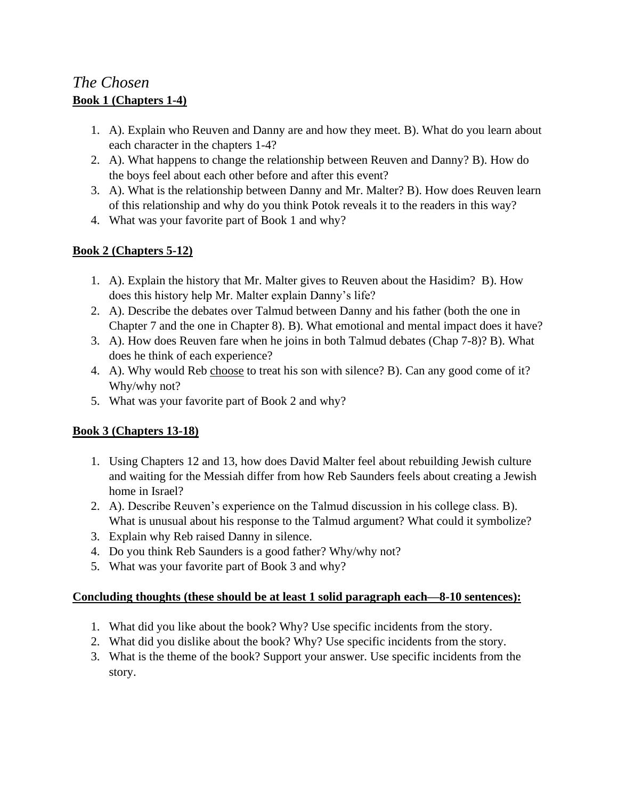## *The Chosen* **Book 1 (Chapters 1-4)**

- 1. A). Explain who Reuven and Danny are and how they meet. B). What do you learn about each character in the chapters 1-4?
- 2. A). What happens to change the relationship between Reuven and Danny? B). How do the boys feel about each other before and after this event?
- 3. A). What is the relationship between Danny and Mr. Malter? B). How does Reuven learn of this relationship and why do you think Potok reveals it to the readers in this way?
- 4. What was your favorite part of Book 1 and why?

### **Book 2 (Chapters 5-12)**

- 1. A). Explain the history that Mr. Malter gives to Reuven about the Hasidim? B). How does this history help Mr. Malter explain Danny's life?
- 2. A). Describe the debates over Talmud between Danny and his father (both the one in Chapter 7 and the one in Chapter 8). B). What emotional and mental impact does it have?
- 3. A). How does Reuven fare when he joins in both Talmud debates (Chap 7-8)? B). What does he think of each experience?
- 4. A). Why would Reb choose to treat his son with silence? B). Can any good come of it? Why/why not?
- 5. What was your favorite part of Book 2 and why?

### **Book 3 (Chapters 13-18)**

- 1. Using Chapters 12 and 13, how does David Malter feel about rebuilding Jewish culture and waiting for the Messiah differ from how Reb Saunders feels about creating a Jewish home in Israel?
- 2. A). Describe Reuven's experience on the Talmud discussion in his college class. B). What is unusual about his response to the Talmud argument? What could it symbolize?
- 3. Explain why Reb raised Danny in silence.
- 4. Do you think Reb Saunders is a good father? Why/why not?
- 5. What was your favorite part of Book 3 and why?

#### **Concluding thoughts (these should be at least 1 solid paragraph each—8-10 sentences):**

- 1. What did you like about the book? Why? Use specific incidents from the story.
- 2. What did you dislike about the book? Why? Use specific incidents from the story.
- 3. What is the theme of the book? Support your answer. Use specific incidents from the story.